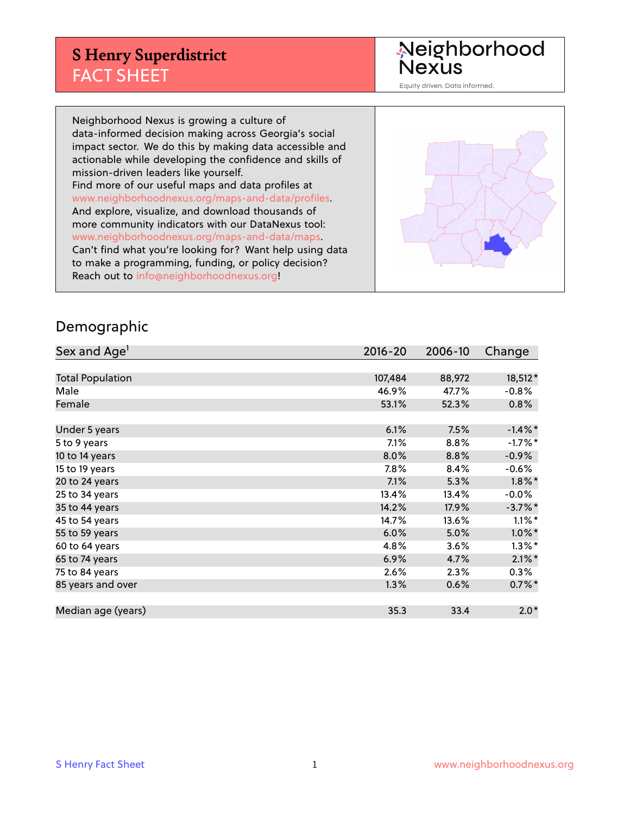## **S Henry Superdistrict** FACT SHEET

Neighborhood<br>Nexus

Equity driven. Data informed.

Neighborhood Nexus is growing a culture of data-informed decision making across Georgia's social impact sector. We do this by making data accessible and actionable while developing the confidence and skills of mission-driven leaders like yourself. Find more of our useful maps and data profiles at www.neighborhoodnexus.org/maps-and-data/profiles. And explore, visualize, and download thousands of more community indicators with our DataNexus tool: www.neighborhoodnexus.org/maps-and-data/maps. Can't find what you're looking for? Want help using data to make a programming, funding, or policy decision? Reach out to [info@neighborhoodnexus.org!](mailto:info@neighborhoodnexus.org)



#### Demographic

| Sex and Age <sup>1</sup> | $2016 - 20$ | 2006-10 | Change     |
|--------------------------|-------------|---------|------------|
|                          |             |         |            |
| <b>Total Population</b>  | 107,484     | 88,972  | 18,512*    |
| Male                     | 46.9%       | 47.7%   | $-0.8%$    |
| Female                   | 53.1%       | 52.3%   | $0.8\%$    |
|                          |             |         |            |
| Under 5 years            | 6.1%        | 7.5%    | $-1.4\%$ * |
| 5 to 9 years             | 7.1%        | $8.8\%$ | $-1.7%$ *  |
| 10 to 14 years           | 8.0%        | 8.8%    | $-0.9%$    |
| 15 to 19 years           | 7.8%        | 8.4%    | $-0.6%$    |
| 20 to 24 years           | 7.1%        | 5.3%    | $1.8\%$ *  |
| 25 to 34 years           | 13.4%       | 13.4%   | $-0.0\%$   |
| 35 to 44 years           | 14.2%       | 17.9%   | $-3.7%$ *  |
| 45 to 54 years           | 14.7%       | 13.6%   | $1.1\%$ *  |
| 55 to 59 years           | 6.0%        | 5.0%    | $1.0\%$ *  |
| 60 to 64 years           | 4.8%        | 3.6%    | $1.3\%$ *  |
| 65 to 74 years           | 6.9%        | 4.7%    | $2.1\%$ *  |
| 75 to 84 years           | 2.6%        | 2.3%    | 0.3%       |
| 85 years and over        | 1.3%        | 0.6%    | $0.7\%$ *  |
|                          |             |         |            |
| Median age (years)       | 35.3        | 33.4    | $2.0*$     |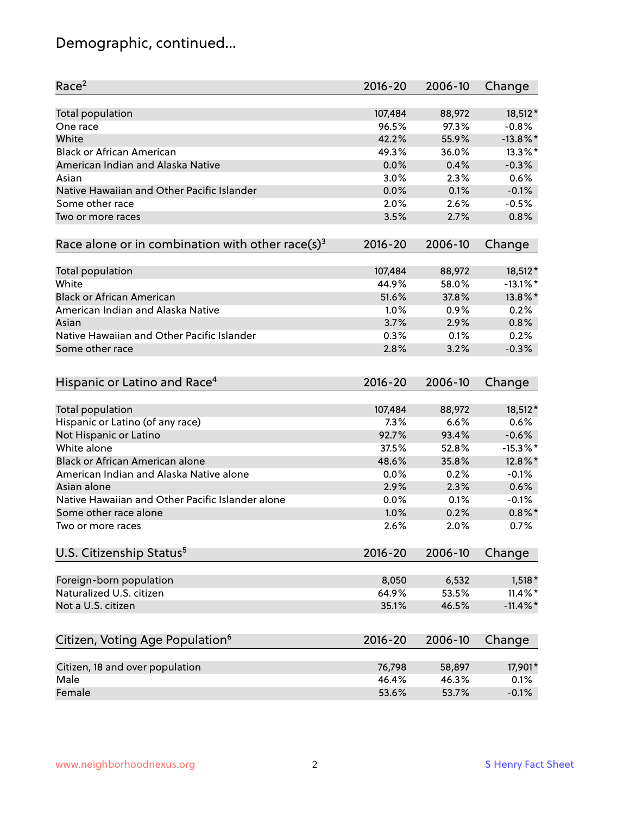# Demographic, continued...

| Race <sup>2</sup>                                            | $2016 - 20$ | 2006-10 | Change      |
|--------------------------------------------------------------|-------------|---------|-------------|
| <b>Total population</b>                                      | 107,484     | 88,972  | 18,512*     |
| One race                                                     | 96.5%       | 97.3%   | $-0.8%$     |
| White                                                        | 42.2%       | 55.9%   | $-13.8\%$ * |
| <b>Black or African American</b>                             | 49.3%       | 36.0%   | 13.3%*      |
| American Indian and Alaska Native                            | 0.0%        | 0.4%    | $-0.3%$     |
| Asian                                                        | 3.0%        | 2.3%    | 0.6%        |
| Native Hawaiian and Other Pacific Islander                   | 0.0%        | 0.1%    | $-0.1%$     |
| Some other race                                              | 2.0%        | 2.6%    | $-0.5%$     |
| Two or more races                                            | 3.5%        | 2.7%    | 0.8%        |
| Race alone or in combination with other race(s) <sup>3</sup> | $2016 - 20$ | 2006-10 | Change      |
|                                                              |             |         |             |
| Total population                                             | 107,484     | 88,972  | 18,512*     |
| White                                                        | 44.9%       | 58.0%   | $-13.1\%$ * |
| <b>Black or African American</b>                             | 51.6%       | 37.8%   | 13.8%*      |
| American Indian and Alaska Native                            | 1.0%        | 0.9%    | 0.2%        |
| Asian                                                        | 3.7%        | 2.9%    | 0.8%        |
| Native Hawaiian and Other Pacific Islander                   | 0.3%        | 0.1%    | 0.2%        |
| Some other race                                              | 2.8%        | 3.2%    | $-0.3%$     |
|                                                              |             |         |             |
| Hispanic or Latino and Race <sup>4</sup>                     | $2016 - 20$ | 2006-10 | Change      |
| <b>Total population</b>                                      | 107,484     | 88,972  | 18,512*     |
| Hispanic or Latino (of any race)                             | 7.3%        | 6.6%    | 0.6%        |
| Not Hispanic or Latino                                       | 92.7%       | 93.4%   | $-0.6%$     |
| White alone                                                  | 37.5%       | 52.8%   | $-15.3\%$ * |
| Black or African American alone                              | 48.6%       | 35.8%   | 12.8%*      |
| American Indian and Alaska Native alone                      | 0.0%        | 0.2%    | $-0.1%$     |
| Asian alone                                                  | 2.9%        | 2.3%    | 0.6%        |
| Native Hawaiian and Other Pacific Islander alone             | 0.0%        | 0.1%    | $-0.1%$     |
| Some other race alone                                        | 1.0%        | 0.2%    | $0.8\%$ *   |
| Two or more races                                            | 2.6%        | 2.0%    | 0.7%        |
|                                                              |             |         |             |
| U.S. Citizenship Status <sup>5</sup>                         | $2016 - 20$ | 2006-10 | Change      |
| Foreign-born population                                      | 8,050       | 6,532   | $1,518*$    |
| Naturalized U.S. citizen                                     | 64.9%       | 53.5%   | $11.4\%$ *  |
| Not a U.S. citizen                                           | 35.1%       | 46.5%   | $-11.4\%$ * |
|                                                              |             |         |             |
| Citizen, Voting Age Population <sup>6</sup>                  | $2016 - 20$ | 2006-10 | Change      |
| Citizen, 18 and over population                              | 76,798      | 58,897  | 17,901*     |
| Male                                                         | 46.4%       | 46.3%   | 0.1%        |
| Female                                                       | 53.6%       | 53.7%   | $-0.1%$     |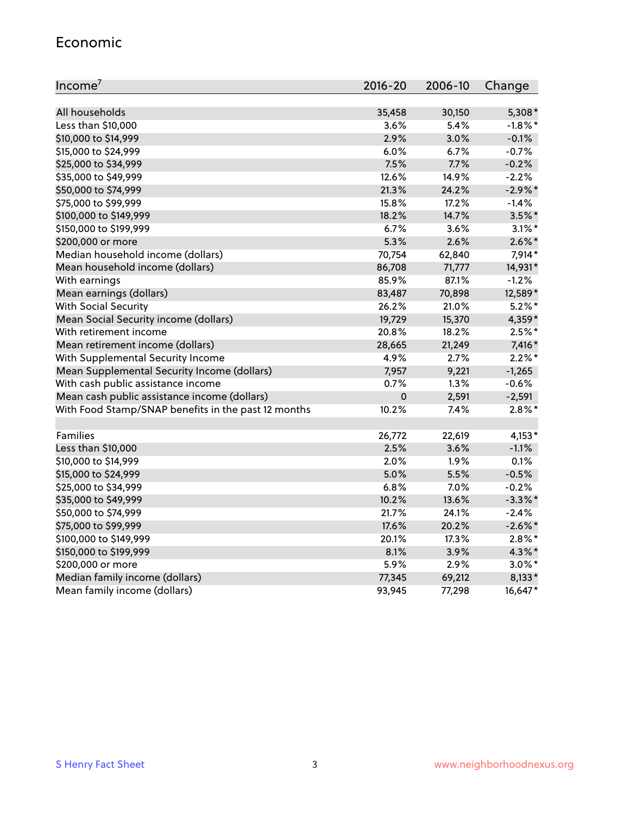#### Economic

| Income <sup>7</sup>                                 | $2016 - 20$ | 2006-10 | Change     |
|-----------------------------------------------------|-------------|---------|------------|
|                                                     |             |         |            |
| All households                                      | 35,458      | 30,150  | 5,308*     |
| Less than \$10,000                                  | 3.6%        | 5.4%    | $-1.8%$ *  |
| \$10,000 to \$14,999                                | 2.9%        | 3.0%    | $-0.1%$    |
| \$15,000 to \$24,999                                | 6.0%        | 6.7%    | $-0.7%$    |
| \$25,000 to \$34,999                                | 7.5%        | 7.7%    | $-0.2%$    |
| \$35,000 to \$49,999                                | 12.6%       | 14.9%   | $-2.2%$    |
| \$50,000 to \$74,999                                | 21.3%       | 24.2%   | $-2.9\%$ * |
| \$75,000 to \$99,999                                | 15.8%       | 17.2%   | $-1.4%$    |
| \$100,000 to \$149,999                              | 18.2%       | 14.7%   | $3.5%$ *   |
| \$150,000 to \$199,999                              | 6.7%        | 3.6%    | $3.1\%$ *  |
| \$200,000 or more                                   | 5.3%        | 2.6%    | $2.6\%$ *  |
| Median household income (dollars)                   | 70,754      | 62,840  | 7,914*     |
| Mean household income (dollars)                     | 86,708      | 71,777  | 14,931*    |
| With earnings                                       | 85.9%       | 87.1%   | $-1.2%$    |
| Mean earnings (dollars)                             | 83,487      | 70,898  | 12,589*    |
| <b>With Social Security</b>                         | 26.2%       | 21.0%   | $5.2\%$ *  |
| Mean Social Security income (dollars)               | 19,729      | 15,370  | 4,359*     |
| With retirement income                              | 20.8%       | 18.2%   | $2.5%$ *   |
| Mean retirement income (dollars)                    | 28,665      | 21,249  | 7,416 *    |
| With Supplemental Security Income                   | 4.9%        | 2.7%    | $2.2\%$ *  |
| Mean Supplemental Security Income (dollars)         | 7,957       | 9,221   | $-1,265$   |
| With cash public assistance income                  | 0.7%        | 1.3%    | $-0.6%$    |
| Mean cash public assistance income (dollars)        | $\mathbf 0$ | 2,591   | $-2,591$   |
| With Food Stamp/SNAP benefits in the past 12 months | 10.2%       | 7.4%    | $2.8\%$ *  |
|                                                     |             |         |            |
| Families                                            | 26,772      | 22,619  | $4,153*$   |
| Less than \$10,000                                  | 2.5%        | 3.6%    | $-1.1%$    |
| \$10,000 to \$14,999                                | 2.0%        | 1.9%    | 0.1%       |
| \$15,000 to \$24,999                                | 5.0%        | 5.5%    | $-0.5%$    |
| \$25,000 to \$34,999                                | 6.8%        | 7.0%    | $-0.2%$    |
| \$35,000 to \$49,999                                | 10.2%       | 13.6%   | $-3.3\%$ * |
| \$50,000 to \$74,999                                | 21.7%       | 24.1%   | $-2.4%$    |
| \$75,000 to \$99,999                                | 17.6%       | 20.2%   | $-2.6\%$ * |
| \$100,000 to \$149,999                              | 20.1%       | 17.3%   | $2.8\%$ *  |
| \$150,000 to \$199,999                              | 8.1%        | 3.9%    | 4.3%*      |
| \$200,000 or more                                   | 5.9%        | 2.9%    | $3.0\%$ *  |
| Median family income (dollars)                      | 77,345      | 69,212  | 8,133*     |
| Mean family income (dollars)                        | 93,945      | 77,298  | 16,647*    |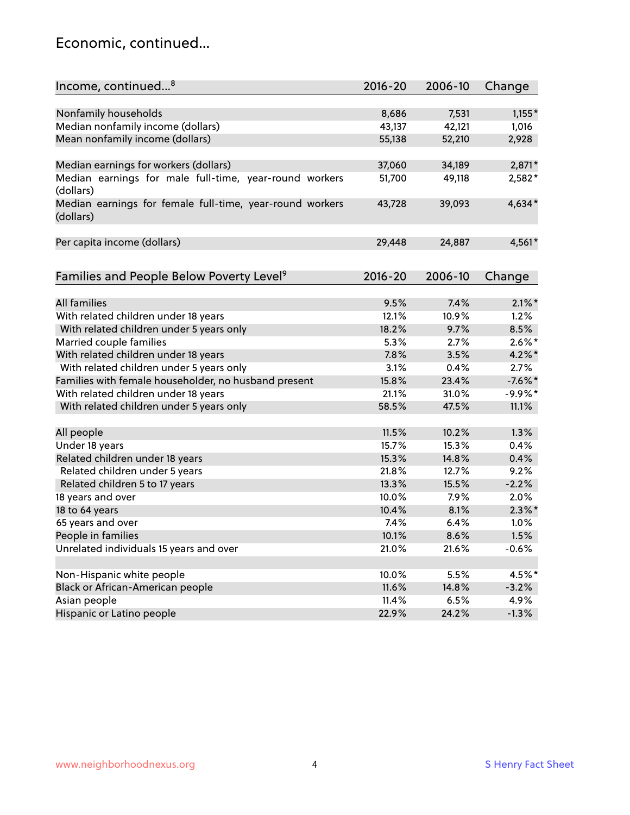#### Economic, continued...

| Income, continued <sup>8</sup>                                        | $2016 - 20$ | 2006-10 | Change    |
|-----------------------------------------------------------------------|-------------|---------|-----------|
|                                                                       |             |         |           |
| Nonfamily households                                                  | 8,686       | 7,531   | $1,155*$  |
| Median nonfamily income (dollars)                                     | 43,137      | 42,121  | 1,016     |
| Mean nonfamily income (dollars)                                       | 55,138      | 52,210  | 2,928     |
| Median earnings for workers (dollars)                                 | 37,060      | 34,189  | $2,871*$  |
| Median earnings for male full-time, year-round workers<br>(dollars)   | 51,700      | 49,118  | 2,582*    |
| Median earnings for female full-time, year-round workers<br>(dollars) | 43,728      | 39,093  | $4,634*$  |
| Per capita income (dollars)                                           | 29,448      | 24,887  | 4,561*    |
| Families and People Below Poverty Level <sup>9</sup>                  | $2016 - 20$ | 2006-10 | Change    |
|                                                                       |             |         |           |
| <b>All families</b>                                                   | 9.5%        | 7.4%    | $2.1\%$ * |
| With related children under 18 years                                  | 12.1%       | 10.9%   | 1.2%      |
| With related children under 5 years only                              | 18.2%       | 9.7%    | 8.5%      |
| Married couple families                                               | 5.3%        | 2.7%    | $2.6\%$ * |
| With related children under 18 years                                  | 7.8%        | 3.5%    | $4.2\%$   |
| With related children under 5 years only                              | 3.1%        | 0.4%    | 2.7%      |
| Families with female householder, no husband present                  | 15.8%       | 23.4%   | $-7.6%$ * |
| With related children under 18 years                                  | 21.1%       | 31.0%   | $-9.9%$ * |
| With related children under 5 years only                              | 58.5%       | 47.5%   | 11.1%     |
| All people                                                            | 11.5%       | 10.2%   | 1.3%      |
| Under 18 years                                                        | 15.7%       | 15.3%   | 0.4%      |
| Related children under 18 years                                       | 15.3%       | 14.8%   | 0.4%      |
| Related children under 5 years                                        | 21.8%       | 12.7%   | 9.2%      |
| Related children 5 to 17 years                                        | 13.3%       | 15.5%   | $-2.2%$   |
| 18 years and over                                                     | 10.0%       | 7.9%    | 2.0%      |
| 18 to 64 years                                                        | 10.4%       | 8.1%    | $2.3\%$ * |
| 65 years and over                                                     | 7.4%        | 6.4%    | 1.0%      |
| People in families                                                    | 10.1%       | 8.6%    | 1.5%      |
| Unrelated individuals 15 years and over                               | 21.0%       | 21.6%   | $-0.6%$   |
|                                                                       |             |         |           |
| Non-Hispanic white people                                             | 10.0%       | 5.5%    | 4.5%*     |
| Black or African-American people                                      | 11.6%       | 14.8%   | $-3.2%$   |
| Asian people                                                          | 11.4%       | 6.5%    | 4.9%      |
| Hispanic or Latino people                                             | 22.9%       | 24.2%   | $-1.3%$   |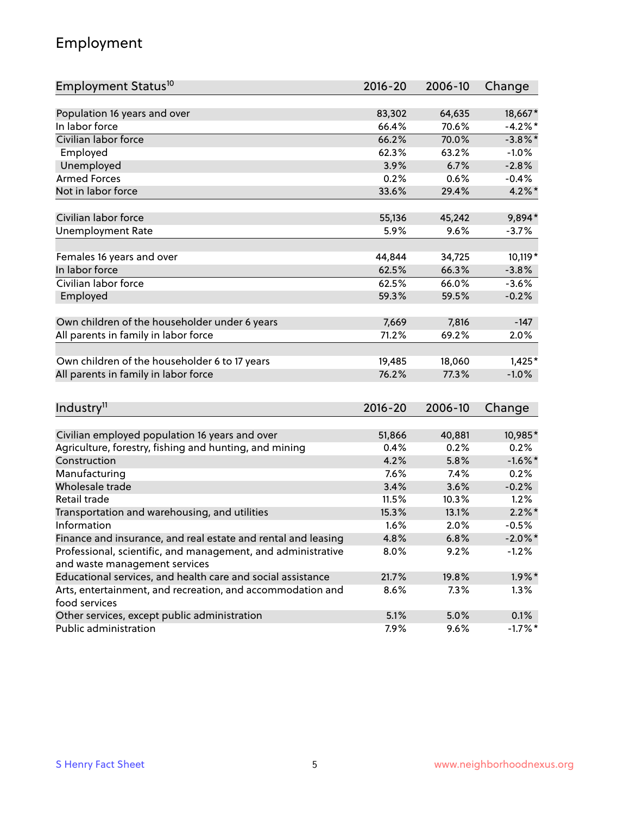## Employment

| Employment Status <sup>10</sup>                                        | $2016 - 20$ | 2006-10 | Change     |
|------------------------------------------------------------------------|-------------|---------|------------|
|                                                                        |             |         |            |
| Population 16 years and over                                           | 83,302      | 64,635  | 18,667*    |
| In labor force                                                         | 66.4%       | 70.6%   | $-4.2\%$ * |
| Civilian labor force                                                   | 66.2%       | 70.0%   | $-3.8\%$ * |
| Employed                                                               | 62.3%       | 63.2%   | $-1.0%$    |
| Unemployed                                                             | 3.9%        | 6.7%    | $-2.8%$    |
| <b>Armed Forces</b>                                                    | 0.2%        | 0.6%    | $-0.4%$    |
| Not in labor force                                                     | 33.6%       | 29.4%   | $4.2\%$ *  |
| Civilian labor force                                                   | 55,136      | 45,242  | 9,894*     |
| <b>Unemployment Rate</b>                                               | 5.9%        | 9.6%    | $-3.7%$    |
|                                                                        |             |         |            |
| Females 16 years and over                                              | 44,844      | 34,725  | 10,119*    |
| In labor force                                                         | 62.5%       | 66.3%   | $-3.8%$    |
| Civilian labor force                                                   | 62.5%       | 66.0%   | $-3.6%$    |
| Employed                                                               | 59.3%       | 59.5%   | $-0.2%$    |
| Own children of the householder under 6 years                          | 7,669       | 7,816   | $-147$     |
| All parents in family in labor force                                   | 71.2%       | 69.2%   | 2.0%       |
|                                                                        |             |         |            |
| Own children of the householder 6 to 17 years                          | 19,485      | 18,060  | $1,425*$   |
| All parents in family in labor force                                   | 76.2%       | 77.3%   | $-1.0%$    |
|                                                                        |             |         |            |
| Industry <sup>11</sup>                                                 | $2016 - 20$ | 2006-10 | Change     |
| Civilian employed population 16 years and over                         | 51,866      | 40,881  | 10,985*    |
|                                                                        | 0.4%        | 0.2%    | 0.2%       |
| Agriculture, forestry, fishing and hunting, and mining<br>Construction | 4.2%        | 5.8%    | $-1.6\%$ * |
| Manufacturing                                                          | 7.6%        | 7.4%    | 0.2%       |
| Wholesale trade                                                        | 3.4%        | 3.6%    | $-0.2%$    |
| Retail trade                                                           | 11.5%       | 10.3%   | 1.2%       |
| Transportation and warehousing, and utilities                          | 15.3%       | 13.1%   | $2.2\%$ *  |
| Information                                                            | 1.6%        | 2.0%    | $-0.5%$    |
| Finance and insurance, and real estate and rental and leasing          | 4.8%        | 6.8%    | $-2.0\%$ * |
| Professional, scientific, and management, and administrative           | $8.0\%$     | 9.2%    | $-1.2%$    |
| and waste management services                                          |             |         |            |
| Educational services, and health care and social assistance            | 21.7%       | 19.8%   | $1.9\%$ *  |
| Arts, entertainment, and recreation, and accommodation and             | 8.6%        | 7.3%    | 1.3%       |
| food services                                                          |             |         |            |
| Other services, except public administration                           | 5.1%        | 5.0%    | 0.1%       |
| Public administration                                                  | 7.9%        | 9.6%    | $-1.7%$ *  |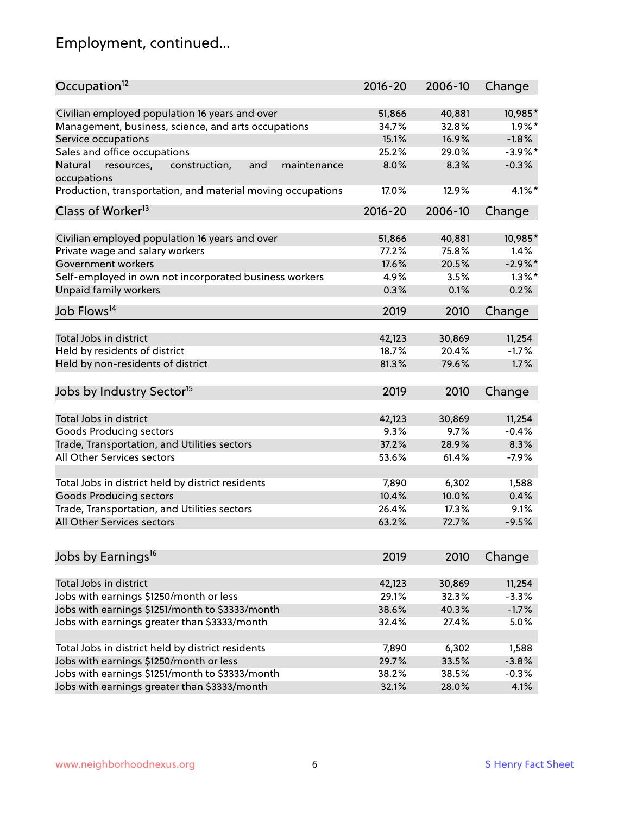# Employment, continued...

| Occupation <sup>12</sup>                                                    | $2016 - 20$ | 2006-10         | Change            |
|-----------------------------------------------------------------------------|-------------|-----------------|-------------------|
| Civilian employed population 16 years and over                              | 51,866      | 40,881          | 10,985*           |
| Management, business, science, and arts occupations                         | 34.7%       | 32.8%           | $1.9\%$ *         |
| Service occupations                                                         | 15.1%       | 16.9%           | $-1.8%$           |
| Sales and office occupations                                                | 25.2%       | 29.0%           | $-3.9%$ *         |
|                                                                             |             |                 | $-0.3%$           |
| Natural<br>and<br>resources,<br>construction,<br>maintenance<br>occupations | 8.0%        | 8.3%            |                   |
| Production, transportation, and material moving occupations                 | 17.0%       | 12.9%           | $4.1\%$ *         |
| Class of Worker <sup>13</sup>                                               | $2016 - 20$ | 2006-10         | Change            |
| Civilian employed population 16 years and over                              | 51,866      | 40,881          | 10,985*           |
| Private wage and salary workers                                             | 77.2%       | 75.8%           | 1.4%              |
| Government workers                                                          | 17.6%       | 20.5%           | $-2.9%$ *         |
|                                                                             |             |                 | $1.3\%$ *         |
| Self-employed in own not incorporated business workers                      | 4.9%        | 3.5%            |                   |
| Unpaid family workers                                                       | 0.3%        | 0.1%            | 0.2%              |
| Job Flows <sup>14</sup>                                                     | 2019        | 2010            | Change            |
|                                                                             |             |                 |                   |
| Total Jobs in district                                                      | 42,123      | 30,869          | 11,254            |
| Held by residents of district                                               | 18.7%       | 20.4%           | $-1.7%$           |
| Held by non-residents of district                                           | 81.3%       | 79.6%           | 1.7%              |
| Jobs by Industry Sector <sup>15</sup>                                       | 2019        | 2010            | Change            |
|                                                                             |             |                 |                   |
| Total Jobs in district                                                      | 42,123      | 30,869          | 11,254            |
| Goods Producing sectors                                                     | 9.3%        | 9.7%            | $-0.4%$           |
| Trade, Transportation, and Utilities sectors                                | 37.2%       | 28.9%           | 8.3%              |
| All Other Services sectors                                                  | 53.6%       | 61.4%           | $-7.9%$           |
| Total Jobs in district held by district residents                           | 7,890       | 6,302           | 1,588             |
| <b>Goods Producing sectors</b>                                              | 10.4%       | 10.0%           | 0.4%              |
| Trade, Transportation, and Utilities sectors                                | 26.4%       | 17.3%           | 9.1%              |
| All Other Services sectors                                                  | 63.2%       | 72.7%           | $-9.5%$           |
|                                                                             |             |                 |                   |
| Jobs by Earnings <sup>16</sup>                                              | 2019        | 2010            | Change            |
|                                                                             |             |                 |                   |
| Total Jobs in district                                                      | 42,123      | 30,869<br>32.3% | 11,254<br>$-3.3%$ |
| Jobs with earnings \$1250/month or less                                     | 29.1%       |                 |                   |
| Jobs with earnings \$1251/month to \$3333/month                             | 38.6%       | 40.3%           | $-1.7%$           |
| Jobs with earnings greater than \$3333/month                                | 32.4%       | 27.4%           | 5.0%              |
| Total Jobs in district held by district residents                           | 7,890       | 6,302           | 1,588             |
| Jobs with earnings \$1250/month or less                                     | 29.7%       | 33.5%           | $-3.8%$           |
| Jobs with earnings \$1251/month to \$3333/month                             | 38.2%       | 38.5%           | $-0.3%$           |
| Jobs with earnings greater than \$3333/month                                | 32.1%       | 28.0%           | 4.1%              |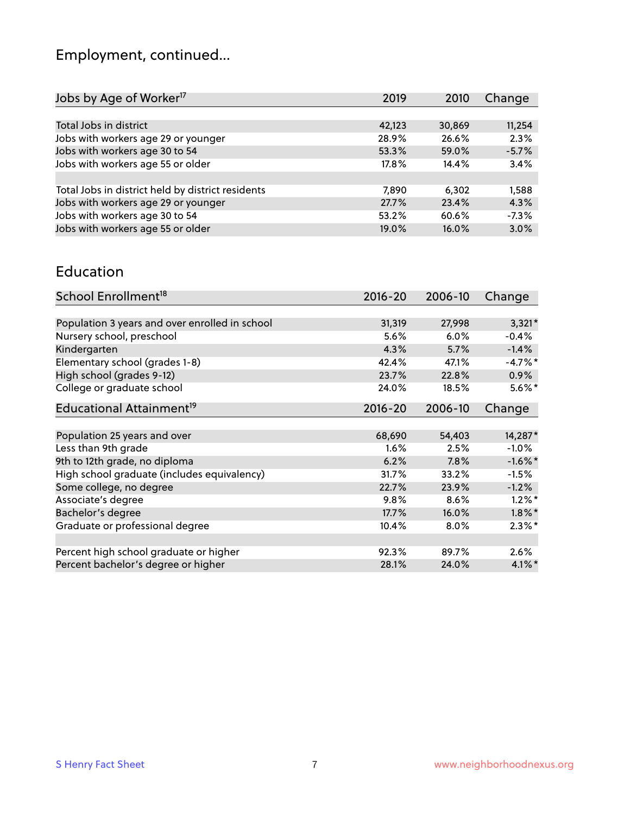# Employment, continued...

| Change  |
|---------|
|         |
| 11,254  |
| 2.3%    |
| $-5.7%$ |
| 3.4%    |
|         |
| 1,588   |
| 4.3%    |
| $-7.3%$ |
| 3.0%    |
|         |

#### Education

| School Enrollment <sup>18</sup>                | $2016 - 20$ | 2006-10 | Change     |
|------------------------------------------------|-------------|---------|------------|
|                                                |             |         |            |
| Population 3 years and over enrolled in school | 31,319      | 27,998  | $3,321*$   |
| Nursery school, preschool                      | $5.6\%$     | 6.0%    | $-0.4%$    |
| Kindergarten                                   | 4.3%        | 5.7%    | $-1.4%$    |
| Elementary school (grades 1-8)                 | 42.4%       | 47.1%   | $-4.7%$ *  |
| High school (grades 9-12)                      | 23.7%       | 22.8%   | 0.9%       |
| College or graduate school                     | 24.0%       | 18.5%   | $5.6\%$ *  |
| Educational Attainment <sup>19</sup>           | $2016 - 20$ | 2006-10 | Change     |
|                                                |             |         |            |
| Population 25 years and over                   | 68,690      | 54,403  | 14,287*    |
| Less than 9th grade                            | 1.6%        | 2.5%    | $-1.0%$    |
| 9th to 12th grade, no diploma                  | 6.2%        | 7.8%    | $-1.6\%$ * |
| High school graduate (includes equivalency)    | 31.7%       | 33.2%   | $-1.5%$    |
| Some college, no degree                        | 22.7%       | 23.9%   | $-1.2%$    |
| Associate's degree                             | 9.8%        | 8.6%    | $1.2\%$ *  |
| Bachelor's degree                              | 17.7%       | 16.0%   | $1.8\%$ *  |
| Graduate or professional degree                | 10.4%       | 8.0%    | $2.3\%$ *  |
|                                                |             |         |            |
| Percent high school graduate or higher         | 92.3%       | 89.7%   | $2.6\%$    |
| Percent bachelor's degree or higher            | 28.1%       | 24.0%   | $4.1\%$ *  |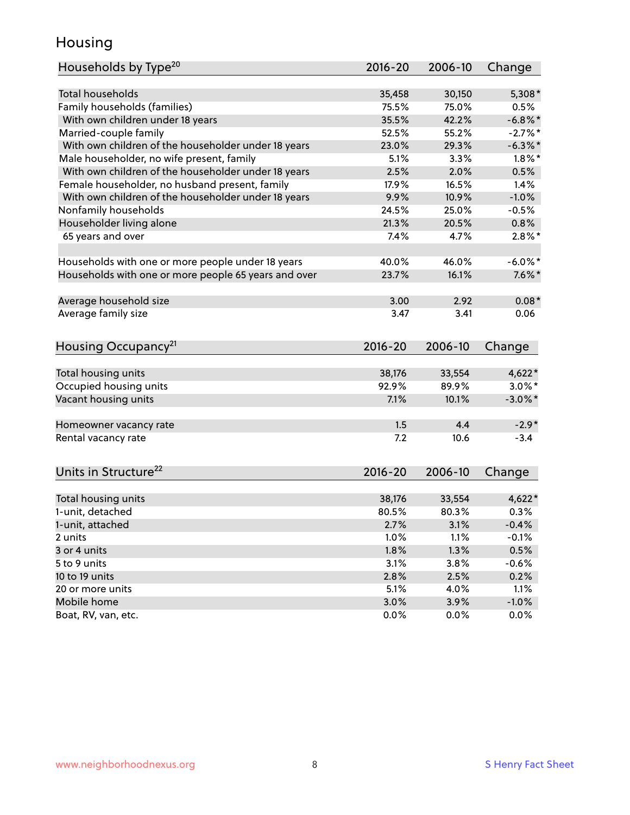## Housing

| Households by Type <sup>20</sup>                     | 2016-20     | 2006-10 | Change     |
|------------------------------------------------------|-------------|---------|------------|
|                                                      |             |         |            |
| <b>Total households</b>                              | 35,458      | 30,150  | $5,308*$   |
| Family households (families)                         | 75.5%       | 75.0%   | 0.5%       |
| With own children under 18 years                     | 35.5%       | 42.2%   | $-6.8\%$ * |
| Married-couple family                                | 52.5%       | 55.2%   | $-2.7%$    |
| With own children of the householder under 18 years  | 23.0%       | 29.3%   | $-6.3\%$ * |
| Male householder, no wife present, family            | 5.1%        | 3.3%    | $1.8\%$ *  |
| With own children of the householder under 18 years  | 2.5%        | 2.0%    | 0.5%       |
| Female householder, no husband present, family       | 17.9%       | 16.5%   | 1.4%       |
| With own children of the householder under 18 years  | 9.9%        | 10.9%   | $-1.0%$    |
| Nonfamily households                                 | 24.5%       | 25.0%   | $-0.5%$    |
| Householder living alone                             | 21.3%       | 20.5%   | 0.8%       |
| 65 years and over                                    | 7.4%        | 4.7%    | $2.8\%$ *  |
|                                                      |             |         |            |
| Households with one or more people under 18 years    | 40.0%       | 46.0%   | $-6.0\%$ * |
| Households with one or more people 65 years and over | 23.7%       | 16.1%   | $7.6\%$ *  |
|                                                      |             |         |            |
| Average household size                               | 3.00        | 2.92    | $0.08*$    |
| Average family size                                  | 3.47        | 3.41    | 0.06       |
|                                                      |             |         |            |
| Housing Occupancy <sup>21</sup>                      | $2016 - 20$ | 2006-10 | Change     |
| Total housing units                                  | 38,176      | 33,554  | $4,622*$   |
| Occupied housing units                               | 92.9%       | 89.9%   | $3.0\%$ *  |
| Vacant housing units                                 | 7.1%        | 10.1%   | $-3.0\%$ * |
|                                                      |             |         |            |
| Homeowner vacancy rate                               | 1.5         | 4.4     | $-2.9*$    |
| Rental vacancy rate                                  | 7.2         | 10.6    | $-3.4$     |
|                                                      |             |         |            |
| Units in Structure <sup>22</sup>                     | 2016-20     | 2006-10 | Change     |
|                                                      |             |         |            |
| Total housing units                                  | 38,176      | 33,554  | $4,622*$   |
| 1-unit, detached                                     | 80.5%       | 80.3%   | 0.3%       |
| 1-unit, attached                                     | 2.7%        | 3.1%    | $-0.4%$    |
| 2 units                                              | 1.0%        | 1.1%    | $-0.1%$    |
| 3 or 4 units                                         | 1.8%        | 1.3%    | 0.5%       |
| 5 to 9 units                                         | 3.1%        | 3.8%    | $-0.6%$    |
| 10 to 19 units                                       | 2.8%        | 2.5%    | 0.2%       |
| 20 or more units                                     | 5.1%        | 4.0%    | 1.1%       |
| Mobile home                                          | 3.0%        | 3.9%    | $-1.0\%$   |
| Boat, RV, van, etc.                                  | 0.0%        | $0.0\%$ | 0.0%       |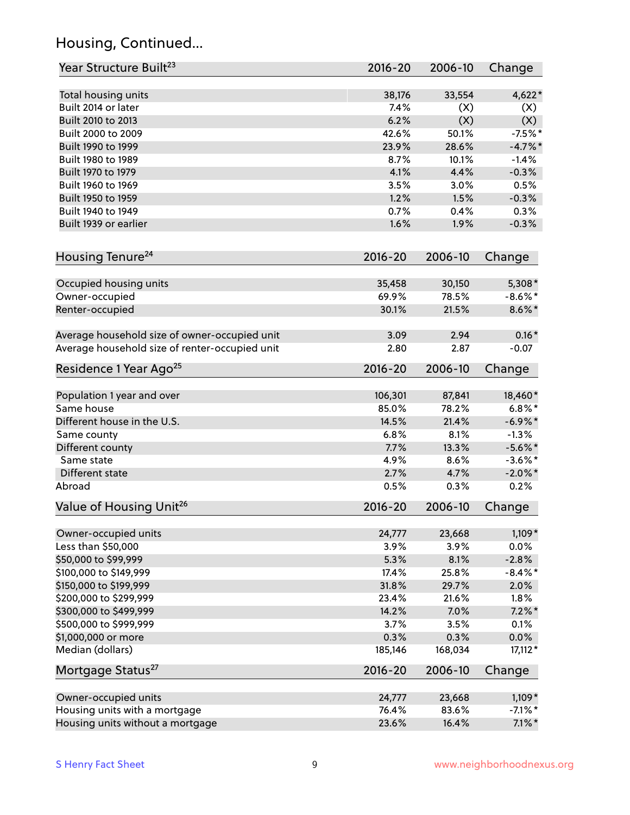## Housing, Continued...

| Year Structure Built <sup>23</sup>             | 2016-20     | 2006-10 | Change     |
|------------------------------------------------|-------------|---------|------------|
| Total housing units                            | 38,176      | 33,554  | $4,622*$   |
| Built 2014 or later                            | 7.4%        | (X)     | (X)        |
| Built 2010 to 2013                             | 6.2%        | (X)     | (X)        |
| Built 2000 to 2009                             | 42.6%       | 50.1%   | $-7.5%$ *  |
| Built 1990 to 1999                             | 23.9%       | 28.6%   | $-4.7%$    |
| Built 1980 to 1989                             | 8.7%        | 10.1%   | $-1.4%$    |
| Built 1970 to 1979                             | 4.1%        | 4.4%    | $-0.3%$    |
| Built 1960 to 1969                             | 3.5%        | 3.0%    | 0.5%       |
| Built 1950 to 1959                             | 1.2%        | 1.5%    | $-0.3%$    |
| Built 1940 to 1949                             | 0.7%        | 0.4%    | 0.3%       |
| Built 1939 or earlier                          | 1.6%        | 1.9%    | $-0.3%$    |
|                                                |             |         |            |
| Housing Tenure <sup>24</sup>                   | $2016 - 20$ | 2006-10 | Change     |
| Occupied housing units                         | 35,458      | 30,150  | 5,308*     |
| Owner-occupied                                 | 69.9%       | 78.5%   | $-8.6\%$ * |
| Renter-occupied                                | 30.1%       | 21.5%   | $8.6\% *$  |
|                                                |             |         |            |
| Average household size of owner-occupied unit  | 3.09        | 2.94    | $0.16*$    |
| Average household size of renter-occupied unit | 2.80        | 2.87    | $-0.07$    |
| Residence 1 Year Ago <sup>25</sup>             | $2016 - 20$ | 2006-10 | Change     |
|                                                |             |         |            |
| Population 1 year and over                     | 106,301     | 87,841  | 18,460*    |
| Same house                                     | 85.0%       | 78.2%   | $6.8\%$ *  |
| Different house in the U.S.                    | 14.5%       | 21.4%   | $-6.9\%$ * |
| Same county                                    | 6.8%        | 8.1%    | $-1.3%$    |
| Different county                               | 7.7%        | 13.3%   | $-5.6\%$ * |
| Same state                                     | 4.9%        | 8.6%    | $-3.6\%$ * |
| Different state                                | 2.7%        | 4.7%    | $-2.0\%$ * |
| Abroad                                         | 0.5%        | 0.3%    | 0.2%       |
| Value of Housing Unit <sup>26</sup>            | $2016 - 20$ | 2006-10 | Change     |
| Owner-occupied units                           | 24,777      | 23,668  | $1,109*$   |
| Less than \$50,000                             | 3.9%        | 3.9%    | 0.0%       |
| \$50,000 to \$99,999                           | 5.3%        | 8.1%    | $-2.8%$    |
| \$100,000 to \$149,999                         | 17.4%       | 25.8%   | $-8.4\%$ * |
| \$150,000 to \$199,999                         | 31.8%       | 29.7%   | 2.0%       |
| \$200,000 to \$299,999                         | 23.4%       | 21.6%   | 1.8%       |
|                                                | 14.2%       | 7.0%    | $7.2\%$ *  |
| \$300,000 to \$499,999                         |             |         |            |
| \$500,000 to \$999,999                         | 3.7%        | 3.5%    | 0.1%       |
| \$1,000,000 or more                            | 0.3%        | 0.3%    | 0.0%       |
| Median (dollars)                               | 185,146     | 168,034 | $17,112*$  |
| Mortgage Status <sup>27</sup>                  | $2016 - 20$ | 2006-10 | Change     |
| Owner-occupied units                           | 24,777      | 23,668  | $1,109*$   |
| Housing units with a mortgage                  | 76.4%       | 83.6%   | $-7.1\%$ * |
| Housing units without a mortgage               | 23.6%       | 16.4%   | $7.1\%$ *  |
|                                                |             |         |            |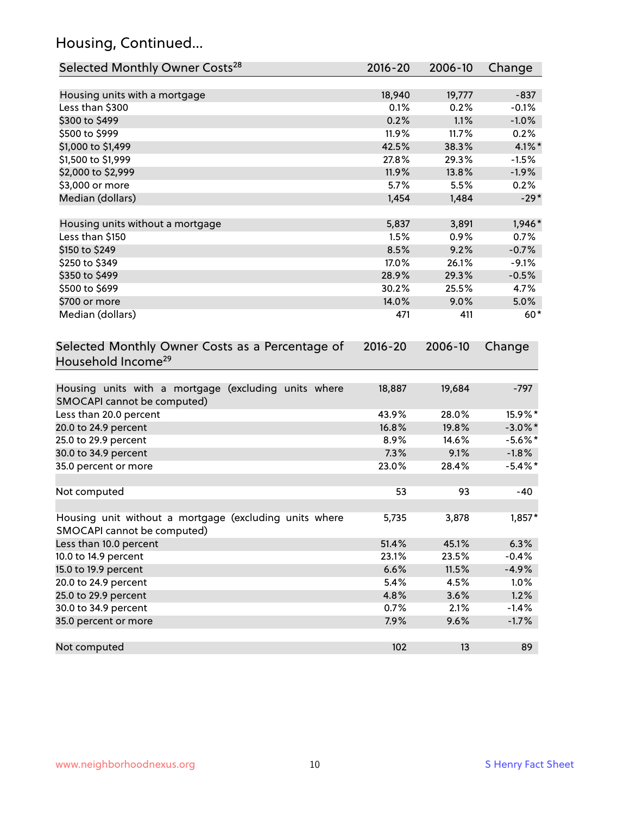## Housing, Continued...

| Selected Monthly Owner Costs <sup>28</sup>                                            | 2016-20 | 2006-10 | Change     |
|---------------------------------------------------------------------------------------|---------|---------|------------|
| Housing units with a mortgage                                                         | 18,940  | 19,777  | $-837$     |
| Less than \$300                                                                       | 0.1%    | 0.2%    | $-0.1%$    |
| \$300 to \$499                                                                        | 0.2%    | 1.1%    | $-1.0%$    |
| \$500 to \$999                                                                        | 11.9%   | 11.7%   | 0.2%       |
| \$1,000 to \$1,499                                                                    | 42.5%   | 38.3%   | $4.1\%$ *  |
| \$1,500 to \$1,999                                                                    | 27.8%   | 29.3%   | $-1.5%$    |
| \$2,000 to \$2,999                                                                    | 11.9%   | 13.8%   | $-1.9%$    |
| \$3,000 or more                                                                       | 5.7%    | 5.5%    | 0.2%       |
| Median (dollars)                                                                      | 1,454   | 1,484   | $-29*$     |
| Housing units without a mortgage                                                      | 5,837   | 3,891   | 1,946*     |
| Less than \$150                                                                       | 1.5%    | 0.9%    | 0.7%       |
| \$150 to \$249                                                                        | 8.5%    | 9.2%    | $-0.7%$    |
| \$250 to \$349                                                                        | 17.0%   | 26.1%   | $-9.1%$    |
| \$350 to \$499                                                                        | 28.9%   | 29.3%   | $-0.5%$    |
| \$500 to \$699                                                                        | 30.2%   | 25.5%   | 4.7%       |
| \$700 or more                                                                         | 14.0%   | 9.0%    | 5.0%       |
| Median (dollars)                                                                      | 471     | 411     | $60*$      |
| Selected Monthly Owner Costs as a Percentage of<br>Household Income <sup>29</sup>     |         |         | Change     |
| Housing units with a mortgage (excluding units where<br>SMOCAPI cannot be computed)   | 18,887  | 19,684  | $-797$     |
| Less than 20.0 percent                                                                | 43.9%   | 28.0%   | 15.9%*     |
| 20.0 to 24.9 percent                                                                  | 16.8%   | 19.8%   | $-3.0\%$ * |
| 25.0 to 29.9 percent                                                                  | 8.9%    | 14.6%   | $-5.6\%$ * |
| 30.0 to 34.9 percent                                                                  | 7.3%    | 9.1%    | $-1.8%$    |
| 35.0 percent or more                                                                  | 23.0%   | 28.4%   | $-5.4\%$ * |
| Not computed                                                                          | 53      | 93      | -40        |
| Housing unit without a mortgage (excluding units where<br>SMOCAPI cannot be computed) | 5,735   | 3,878   | 1,857*     |
| Less than 10.0 percent                                                                | 51.4%   | 45.1%   | 6.3%       |
| 10.0 to 14.9 percent                                                                  | 23.1%   | 23.5%   | $-0.4%$    |
| 15.0 to 19.9 percent                                                                  | 6.6%    | 11.5%   | $-4.9%$    |
| 20.0 to 24.9 percent                                                                  | 5.4%    | 4.5%    | 1.0%       |
| 25.0 to 29.9 percent                                                                  | 4.8%    | 3.6%    | 1.2%       |
| 30.0 to 34.9 percent                                                                  | 0.7%    | 2.1%    | $-1.4%$    |
| 35.0 percent or more                                                                  | 7.9%    | 9.6%    | $-1.7%$    |
| Not computed                                                                          | 102     | 13      | 89         |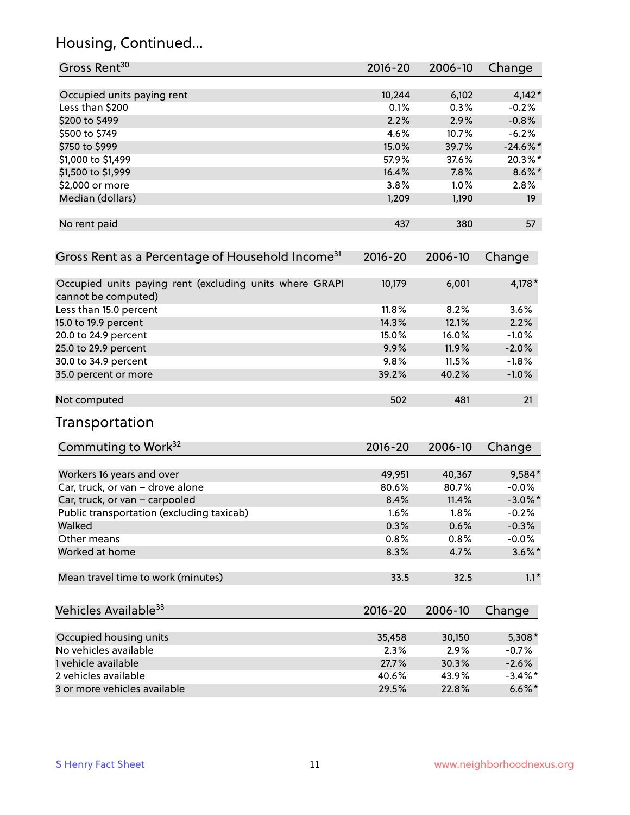## Housing, Continued...

| Gross Rent <sup>30</sup>                                                       | 2016-20     | 2006-10 | Change     |
|--------------------------------------------------------------------------------|-------------|---------|------------|
|                                                                                |             |         |            |
| Occupied units paying rent                                                     | 10,244      | 6,102   | $4,142*$   |
| Less than \$200                                                                | 0.1%        | 0.3%    | $-0.2%$    |
| \$200 to \$499                                                                 | 2.2%        | 2.9%    | $-0.8%$    |
| \$500 to \$749                                                                 | 4.6%        | 10.7%   | $-6.2%$    |
| \$750 to \$999                                                                 | 15.0%       | 39.7%   | $-24.6%$   |
| \$1,000 to \$1,499                                                             | 57.9%       | 37.6%   | 20.3%*     |
| \$1,500 to \$1,999                                                             | 16.4%       | 7.8%    | $8.6\%$ *  |
| \$2,000 or more                                                                | 3.8%        | 1.0%    | 2.8%       |
| Median (dollars)                                                               | 1,209       | 1,190   | 19         |
| No rent paid                                                                   | 437         | 380     | 57         |
| Gross Rent as a Percentage of Household Income <sup>31</sup>                   | $2016 - 20$ | 2006-10 | Change     |
| Occupied units paying rent (excluding units where GRAPI<br>cannot be computed) | 10,179      | 6,001   | 4,178 *    |
| Less than 15.0 percent                                                         | 11.8%       | 8.2%    | 3.6%       |
| 15.0 to 19.9 percent                                                           | 14.3%       | 12.1%   | 2.2%       |
| 20.0 to 24.9 percent                                                           | 15.0%       | 16.0%   | $-1.0%$    |
| 25.0 to 29.9 percent                                                           | 9.9%        | 11.9%   | $-2.0%$    |
| 30.0 to 34.9 percent                                                           | 9.8%        | 11.5%   | $-1.8%$    |
| 35.0 percent or more                                                           | 39.2%       | 40.2%   | $-1.0%$    |
| Not computed                                                                   | 502         | 481     | 21         |
| Transportation                                                                 |             |         |            |
| Commuting to Work <sup>32</sup>                                                | 2016-20     | 2006-10 | Change     |
| Workers 16 years and over                                                      | 49,951      | 40,367  | 9,584*     |
| Car, truck, or van - drove alone                                               | 80.6%       | 80.7%   | $-0.0%$    |
| Car, truck, or van - carpooled                                                 | 8.4%        | 11.4%   | $-3.0\%$ * |
| Public transportation (excluding taxicab)                                      | 1.6%        | 1.8%    | $-0.2%$    |
| Walked                                                                         | 0.3%        | 0.6%    | $-0.3%$    |
| Other means                                                                    | 0.8%        | 0.8%    | $-0.0%$    |
| Worked at home                                                                 | 8.3%        | 4.7%    | $3.6\%$ *  |
| Mean travel time to work (minutes)                                             | 33.5        | 32.5    | $1.1*$     |
| Vehicles Available <sup>33</sup>                                               | $2016 - 20$ | 2006-10 | Change     |
| Occupied housing units                                                         | 35,458      | 30,150  | 5,308*     |
| No vehicles available                                                          | 2.3%        | 2.9%    | $-0.7%$    |
| 1 vehicle available                                                            | 27.7%       | 30.3%   | $-2.6%$    |
| 2 vehicles available                                                           | 40.6%       | 43.9%   | $-3.4\%$ * |
| 3 or more vehicles available                                                   | 29.5%       | 22.8%   | $6.6\%$ *  |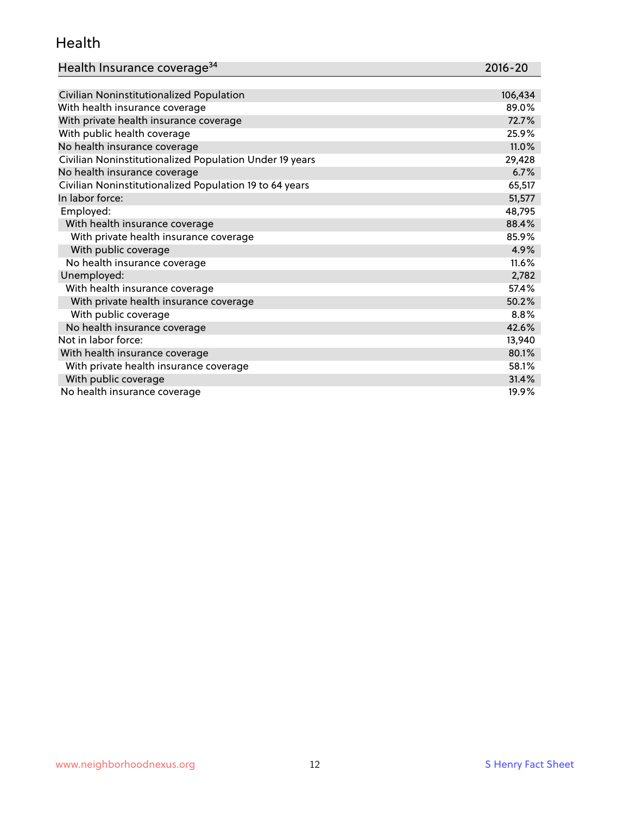#### Health

| Health Insurance coverage <sup>34</sup> | 2016-20 |
|-----------------------------------------|---------|
|-----------------------------------------|---------|

| Civilian Noninstitutionalized Population                | 106,434 |
|---------------------------------------------------------|---------|
| With health insurance coverage                          | 89.0%   |
| With private health insurance coverage                  | 72.7%   |
| With public health coverage                             | 25.9%   |
| No health insurance coverage                            | 11.0%   |
| Civilian Noninstitutionalized Population Under 19 years | 29,428  |
| No health insurance coverage                            | 6.7%    |
| Civilian Noninstitutionalized Population 19 to 64 years | 65,517  |
| In labor force:                                         | 51,577  |
| Employed:                                               | 48,795  |
| With health insurance coverage                          | 88.4%   |
| With private health insurance coverage                  | 85.9%   |
| With public coverage                                    | 4.9%    |
| No health insurance coverage                            | 11.6%   |
| Unemployed:                                             | 2,782   |
| With health insurance coverage                          | 57.4%   |
| With private health insurance coverage                  | 50.2%   |
| With public coverage                                    | 8.8%    |
| No health insurance coverage                            | 42.6%   |
| Not in labor force:                                     | 13,940  |
| With health insurance coverage                          | 80.1%   |
| With private health insurance coverage                  | 58.1%   |
| With public coverage                                    | 31.4%   |
| No health insurance coverage                            | 19.9%   |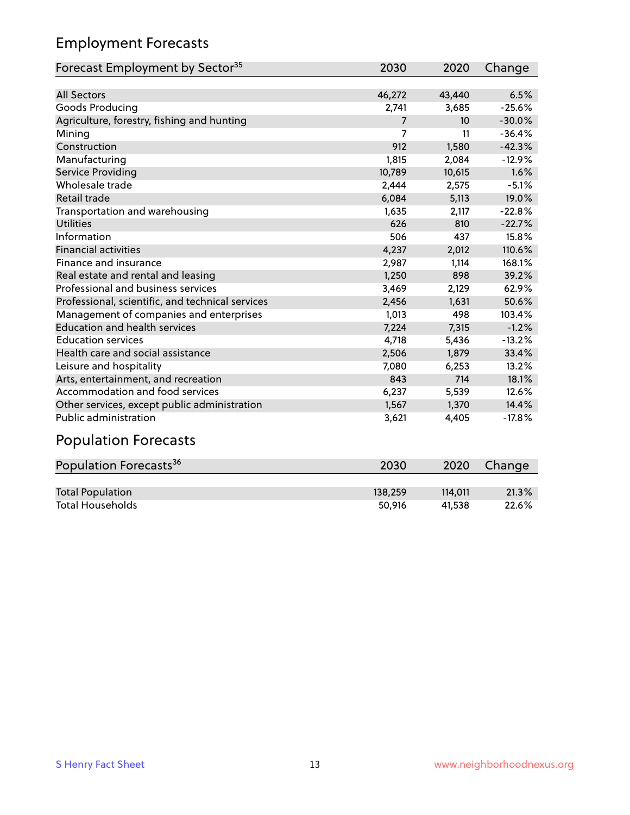## Employment Forecasts

| Forecast Employment by Sector <sup>35</sup>      | 2030           | 2020             | Change   |
|--------------------------------------------------|----------------|------------------|----------|
|                                                  |                |                  |          |
| <b>All Sectors</b>                               | 46,272         | 43,440           | 6.5%     |
| Goods Producing                                  | 2,741          | 3,685            | $-25.6%$ |
| Agriculture, forestry, fishing and hunting       | $\overline{7}$ | 10 <sup>10</sup> | $-30.0%$ |
| Mining                                           | 7              | 11               | $-36.4%$ |
| Construction                                     | 912            | 1,580            | $-42.3%$ |
| Manufacturing                                    | 1,815          | 2,084            | $-12.9%$ |
| Service Providing                                | 10,789         | 10,615           | 1.6%     |
| Wholesale trade                                  | 2,444          | 2,575            | $-5.1%$  |
| <b>Retail trade</b>                              | 6,084          | 5,113            | 19.0%    |
| Transportation and warehousing                   | 1,635          | 2,117            | $-22.8%$ |
| <b>Utilities</b>                                 | 626            | 810              | $-22.7%$ |
| Information                                      | 506            | 437              | 15.8%    |
| <b>Financial activities</b>                      | 4,237          | 2,012            | 110.6%   |
| Finance and insurance                            | 2,987          | 1,114            | 168.1%   |
| Real estate and rental and leasing               | 1,250          | 898              | 39.2%    |
| Professional and business services               | 3,469          | 2,129            | 62.9%    |
| Professional, scientific, and technical services | 2,456          | 1,631            | 50.6%    |
| Management of companies and enterprises          | 1,013          | 498              | 103.4%   |
| <b>Education and health services</b>             | 7,224          | 7,315            | $-1.2%$  |
| <b>Education services</b>                        | 4,718          | 5,436            | $-13.2%$ |
| Health care and social assistance                | 2,506          | 1.879            | 33.4%    |
| Leisure and hospitality                          | 7,080          | 6,253            | 13.2%    |
| Arts, entertainment, and recreation              | 843            | 714              | 18.1%    |
| Accommodation and food services                  | 6,237          | 5,539            | 12.6%    |
| Other services, except public administration     | 1,567          | 1,370            | 14.4%    |
| Public administration                            | 3,621          | 4,405            | $-17.8%$ |

## Population Forecasts

| Population Forecasts <sup>36</sup> | 2030    | 2020    | Change |
|------------------------------------|---------|---------|--------|
|                                    |         |         |        |
| <b>Total Population</b>            | 138,259 | 114.011 | 21.3%  |
| <b>Total Households</b>            | 50.916  | 41.538  | 22.6%  |